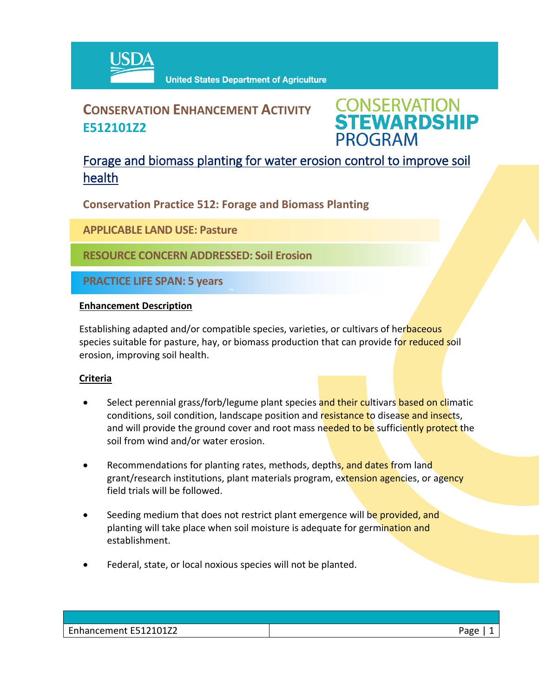

# **CONSERVATION ENHANCEMENT ACTIVITY E512101Z2**



## Forage and biomass planting for water erosion control to improve soil health

**Conservation Practice 512: Forage and Biomass Planting**

 $\hat{a}$ 

**APPLICABLE LAND USE: Pasture**

**RESOURCE CONCERN ADDRESSED: Soil Erosion**

**PRACTICE LIFE SPAN: 5 years**

### **Enhancement Description**

Establishing adapted and/or compatible species, varieties, or cultivars of herbaceous species suitable for pasture, hay, or biomass production that can provide for reduced soil erosion, improving soil health.

## **Criteria**

- Select perennial grass/forb/legume plant species and their cultivars based on climatic conditions, soil condition, landscape position and resistance to disease and insects, and will provide the ground cover and root mass needed to be sufficiently protect the soil from wind and/or water erosion.
- Recommendations for planting rates, methods, depths, and dates from land grant/research institutions, plant materials program, extension agencies, or agency field trials will be followed.
- **Seeding medium that does not restrict plant emergence will be provided, and** planting will take place when soil moisture is adequate for germination and establishment.
- Federal, state, or local noxious species will not be planted.